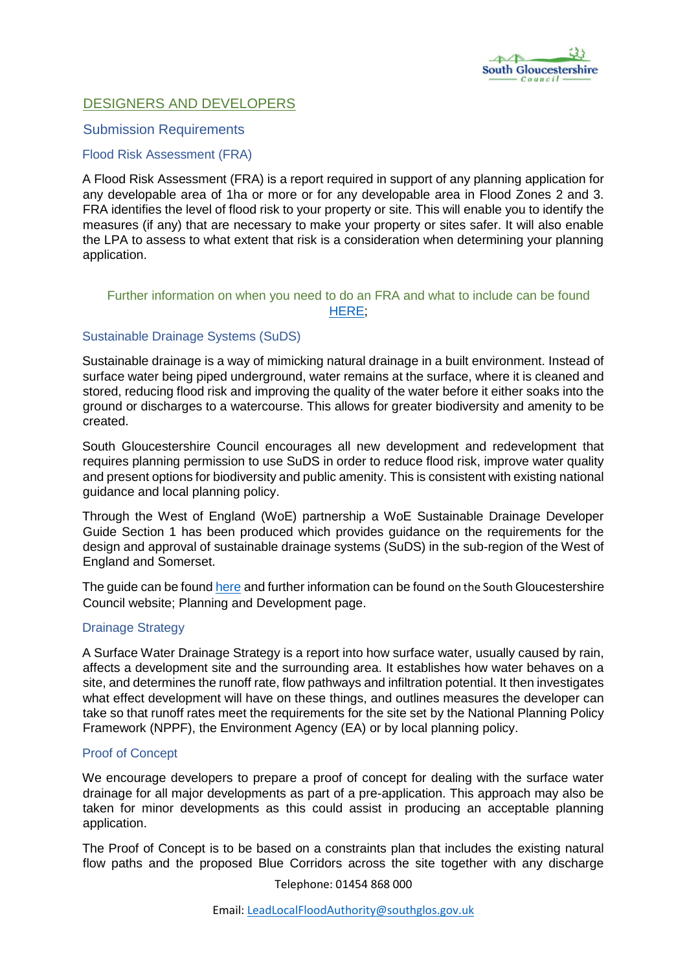

# DESIGNERS AND DEVELOPERS

# Submission Requirements

# Flood Risk Assessment (FRA)

A Flood Risk Assessment (FRA) is a report required in support of any planning application for any developable area of 1ha or more or for any developable area in Flood Zones 2 and 3. FRA identifies the level of flood risk to your property or site. This will enable you to identify the measures (if any) that are necessary to make your property or sites safer. It will also enable the LPA to assess to what extent that risk is a consideration when determining your planning application.

# Further information on when you need to do an FRA and what to include can be found [HERE;](https://www.gov.uk/guidance/flood-risk-assessment-for-planning-applications)

# Sustainable Drainage Systems (SuDS)

Sustainable drainage is a way of mimicking natural drainage in a built environment. Instead of surface water being piped underground, water remains at the surface, where it is cleaned and stored, reducing flood risk and improving the quality of the water before it either soaks into the ground or discharges to a watercourse. This allows for greater biodiversity and amenity to be created.

South Gloucestershire Council encourages all new development and redevelopment that requires planning permission to use SuDS in order to reduce flood risk, improve water quality and present options for biodiversity and public amenity. This is consistent with existing national guidance and local planning policy.

Through the West of England (WoE) partnership a WoE Sustainable Drainage Developer Guide Section 1 has been produced which provides guidance on the requirements for the design and approval of sustainable drainage systems (SuDS) in the sub-region of the West of England and Somerset.

The guide can be found here and further information can be found on the South Gloucestershire Council website; Planning and Development page.

#### Drainage Strategy

A Surface Water Drainage Strategy is a report into how surface water, usually caused by rain, affects a development site and the surrounding area. It establishes how water behaves on a site, and determines the runoff rate, flow pathways and infiltration potential. It then investigates what effect development will have on these things, and outlines measures the developer can take so that runoff rates meet the requirements for the site set by the National Planning Policy Framework (NPPF), the Environment Agency (EA) or by local planning policy.

#### Proof of Concept

We encourage developers to prepare a proof of concept for dealing with the surface water drainage for all major developments as part of a pre-application. This approach may also be taken for minor developments as this could assist in producing an acceptable planning application.

The Proof of Concept is to be based on a constraints plan that includes the existing natural flow paths and the proposed Blue Corridors across the site together with any discharge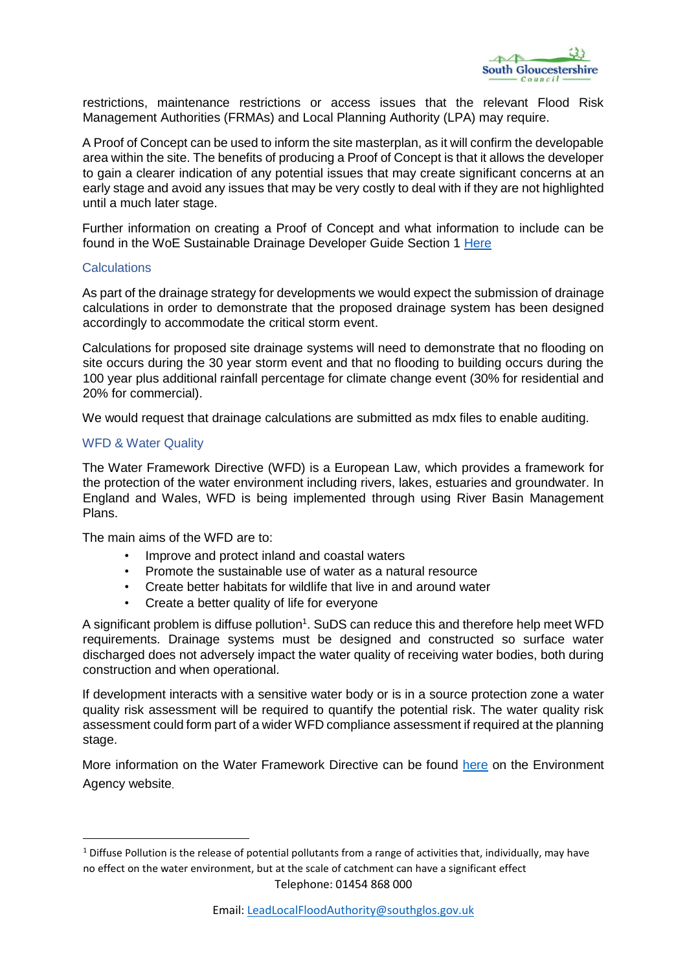

restrictions, maintenance restrictions or access issues that the relevant Flood Risk Management Authorities (FRMAs) and Local Planning Authority (LPA) may require.

A Proof of Concept can be used to inform the site masterplan, as it will confirm the developable area within the site. The benefits of producing a Proof of Concept is that it allows the developer to gain a clearer indication of any potential issues that may create significant concerns at an early stage and avoid any issues that may be very costly to deal with if they are not highlighted until a much later stage.

Further information on creating a Proof of Concept and what information to include can be found in the WoE Sustainable Drainage Developer Guide Section 1 Here

#### **Calculations**

As part of the drainage strategy for developments we would expect the submission of drainage calculations in order to demonstrate that the proposed drainage system has been designed accordingly to accommodate the critical storm event.

Calculations for proposed site drainage systems will need to demonstrate that no flooding on site occurs during the 30 year storm event and that no flooding to building occurs during the 100 year plus additional rainfall percentage for climate change event (30% for residential and 20% for commercial).

We would request that drainage calculations are submitted as mdx files to enable auditing.

#### WFD & Water Quality

-

The Water Framework Directive (WFD) is a European Law, which provides a framework for the protection of the water environment including rivers, lakes, estuaries and groundwater. In England and Wales, WFD is being implemented through using River Basin Management Plans.

The main aims of the WFD are to:

- Improve and protect inland and coastal waters
- Promote the sustainable use of water as a natural resource
- Create better habitats for wildlife that live in and around water
- Create a better quality of life for everyone

A significant problem is diffuse pollution<sup>1</sup>. SuDS can reduce this and therefore help meet WFD requirements. Drainage systems must be designed and constructed so surface water discharged does not adversely impact the water quality of receiving water bodies, both during construction and when operational.

If development interacts with a sensitive water body or is in a source protection zone a water quality risk assessment will be required to quantify the potential risk. The water quality risk assessment could form part of a wider WFD compliance assessment if required at the planning stage.

More information on the Water Framework Directive can be found here on the Environment Agency website.

Telephone: 01454 868 000  $1$  Diffuse Pollution is the release of potential pollutants from a range of activities that, individually, may have no effect on the water environment, but at the scale of catchment can have a significant effect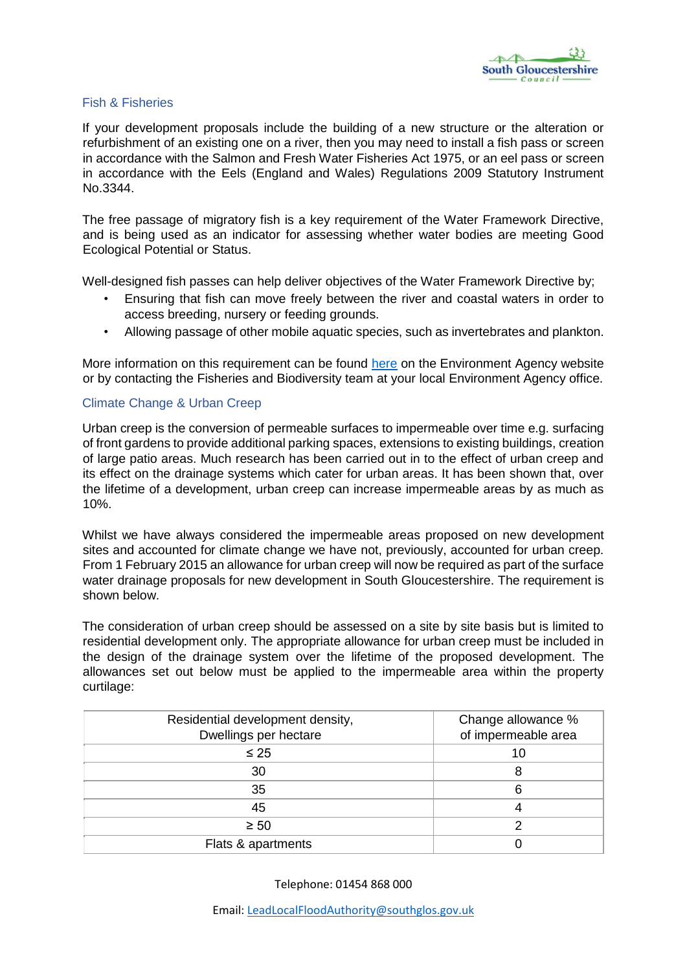

### Fish & Fisheries

If your development proposals include the building of a new structure or the alteration or refurbishment of an existing one on a river, then you may need to install a fish pass or screen in accordance with the Salmon and Fresh Water Fisheries Act 1975, or an eel pass or screen in accordance with the Eels (England and Wales) Regulations 2009 Statutory Instrument No.3344.

The free passage of migratory fish is a key requirement of the Water Framework Directive, and is being used as an indicator for assessing whether water bodies are meeting Good Ecological Potential or Status.

Well-designed fish passes can help deliver objectives of the Water Framework Directive by;

- Ensuring that fish can move freely between the river and coastal waters in order to access breeding, nursery or feeding grounds.
- Allowing passage of other mobile aquatic species, such as invertebrates and plankton.

More information on this requirement can be found here on the Environment Agency website or by contacting the Fisheries and Biodiversity team at your local Environment Agency office.

# Climate Change & Urban Creep

Urban creep is the conversion of permeable surfaces to impermeable over time e.g. surfacing of front gardens to provide additional parking spaces, extensions to existing buildings, creation of large patio areas. Much research has been carried out in to the effect of urban creep and its effect on the drainage systems which cater for urban areas. It has been shown that, over the lifetime of a development, urban creep can increase impermeable areas by as much as 10%.

Whilst we have always considered the impermeable areas proposed on new development sites and accounted for climate change we have not, previously, accounted for urban creep. From 1 February 2015 an allowance for urban creep will now be required as part of the surface water drainage proposals for new development in South Gloucestershire. The requirement is shown below.

The consideration of urban creep should be assessed on a site by site basis but is limited to residential development only. The appropriate allowance for urban creep must be included in the design of the drainage system over the lifetime of the proposed development. The allowances set out below must be applied to the impermeable area within the property curtilage:

| Residential development density,<br>Dwellings per hectare | Change allowance %<br>of impermeable area |
|-----------------------------------------------------------|-------------------------------------------|
| $\leq 25$                                                 | 10                                        |
| 30                                                        |                                           |
| 35                                                        |                                           |
| 45                                                        |                                           |
| $\geq 50$                                                 |                                           |
| Flats & apartments                                        |                                           |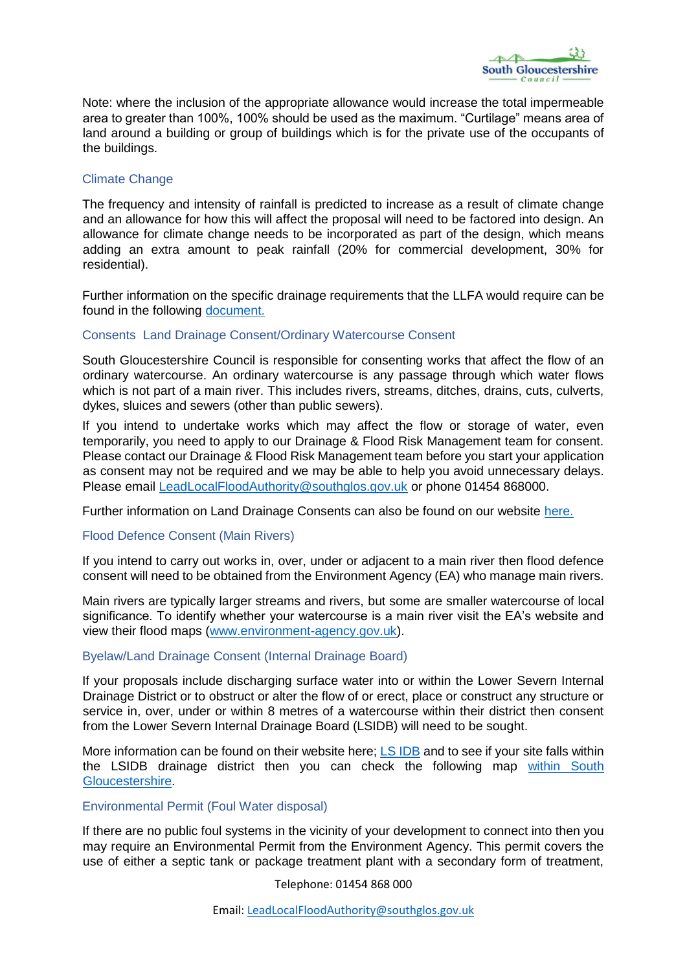

Note: where the inclusion of the appropriate allowance would increase the total impermeable area to greater than 100%, 100% should be used as the maximum. "Curtilage" means area of land around a building or group of buildings which is for the private use of the occupants of the buildings.

# Climate Change

The frequency and intensity of rainfall is predicted to increase as a result of climate change and an allowance for how this will affect the proposal will need to be factored into design. An allowance for climate change needs to be incorporated as part of the design, which means adding an extra amount to peak rainfall (20% for commercial development, 30% for residential).

Further information on the specific drainage requirements that the LLFA would require can be found in the following document.

# Consents Land Drainage Consent/Ordinary Watercourse Consent

South Gloucestershire Council is responsible for consenting works that affect the flow of an ordinary watercourse. An ordinary watercourse is any passage through which water flows which is not part of a main river. This includes rivers, streams, ditches, drains, cuts, culverts, dykes, sluices and sewers (other than public sewers).

If you intend to undertake works which may affect the flow or storage of water, even temporarily, you need to apply to our Drainage & Flood Risk Management team for consent. Please contact our Drainage & Flood Risk Management team before you start your application as consent may not be required and we may be able to help you avoid unnecessary delays. Please email LeadLocalFloodAuthority@southglos.gov.uk or phone 01454 868000.

Further information on Land Drainage Consents can also be found on our website here.

#### Flood Defence Consent (Main Rivers)

If you intend to carry out works in, over, under or adjacent to a main river then flood defence consent will need to be obtained from the Environment Agency (EA) who manage main rivers.

Main rivers are typically larger streams and rivers, but some are smaller watercourse of local significance. To identify whether your watercourse is a main river visit the EA's website and view their flood maps [\(www.environment-agency.gov.uk\)](http://www.environment-agency.gov.uk/).

#### Byelaw/Land Drainage Consent (Internal Drainage Board)

If your proposals include discharging surface water into or within the Lower Severn Internal Drainage District or to obstruct or alter the flow of or erect, place or construct any structure or service in, over, under or within 8 metres of a watercourse within their district then consent from the Lower Severn Internal Drainage Board (LSIDB) will need to be sought.

More information can be found on their website here; LS IDB and to see if your site falls within the LSIDB drainage district then you can check the following map [within South](http://hosted.southglos.gov.uk/acrobat/SFRA/Figure2.pdf) [Gloucestershire.](http://hosted.southglos.gov.uk/acrobat/SFRA/Figure2.pdf)

#### Environmental Permit (Foul Water disposal)

If there are no public foul systems in the vicinity of your development to connect into then you may require an Environmental Permit from the Environment Agency. This permit covers the use of either a septic tank or package treatment plant with a secondary form of treatment,